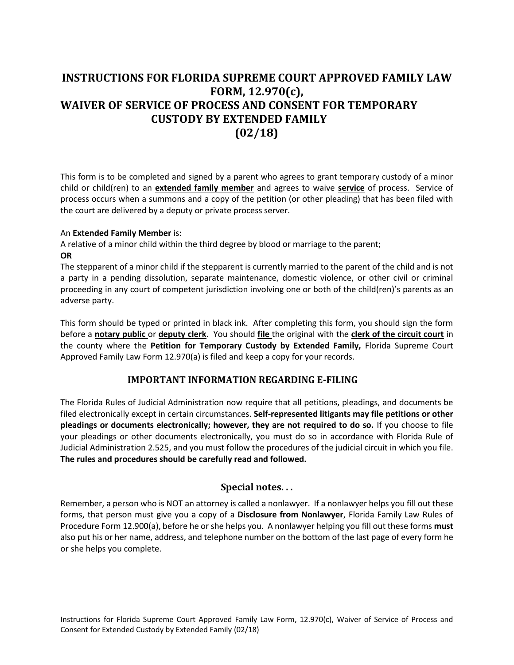# **INSTRUCTIONS FOR FLORIDA SUPREME COURT APPROVED FAMILY LAW FORM, 12.970(c), WAIVER OF SERVICE OF PROCESS AND CONSENT FOR TEMPORARY CUSTODY BY EXTENDED FAMILY (02/18)**

 This form is to be completed and signed by a parent who agrees to grant temporary custody of a minor child or child(ren) to an **extended family member** and agrees to waive **service** of process. Service of process occurs when a summons and a copy of the petition (or other pleading) that has been filed with the court are delivered by a deputy or private process server.

#### An **Extended Family Member** is:

 A relative of a minor child within the third degree by blood or marriage to the parent; **OR** 

 The stepparent of a minor child if the stepparent is currently married to the parent of the child and is not a party in a pending dissolution, separate maintenance, domestic violence, or other civil or criminal proceeding in any court of competent jurisdiction involving one or both of the child(ren)'s parents as an adverse party.

 This form should be typed or printed in black ink. After completing this form, you should sign the form before a **notary public** or **deputy clerk**. You should **file** the original with the **clerk of the circuit court** in  the county where the **Petition for Temporary Custody by Extended Family,** Florida Supreme Court Approved Family Law Form 12.970(a) is filed and keep a copy for your records.

### **IMPORTANT INFORMATION REGARDING E-FILING**

 The Florida Rules of Judicial Administration now require that all petitions, pleadings, and documents be  **pleadings or documents electronically; however, they are not required to do so.** If you choose to file your pleadings or other documents electronically, you must do so in accordance with Florida Rule of Judicial Administration 2.525, and you must follow the procedures of the judicial circuit in which you file. filed electronically except in certain circumstances. **Self-represented litigants may file petitions or other The rules and procedures should be carefully read and followed.** 

### **Special notes. . .**

 Remember, a person who is NOT an attorney is called a nonlawyer. If a nonlawyer helps you fill out these forms, that person must give you a copy of a **Disclosure from Nonlawyer**, Florida Family Law Rules of Procedure Form 12.900(a), before he or she helps you. A nonlawyer helping you fill out these forms **must**  also put his or her name, address, and telephone number on the bottom of the last page of every form he or she helps you complete.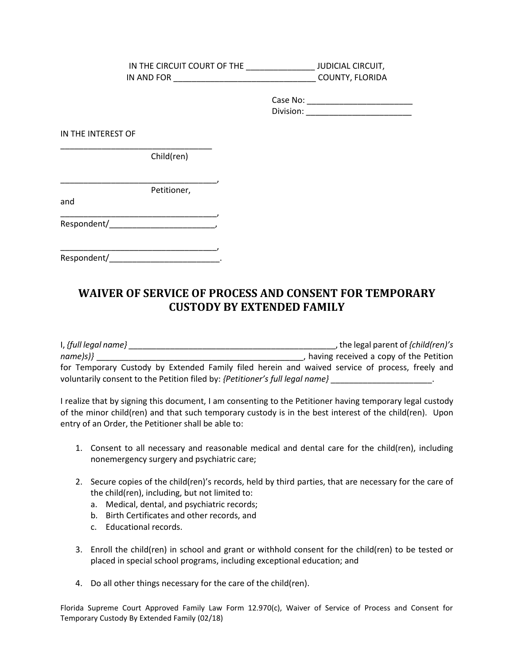IN THE CIRCUIT COURT OF THE \_\_\_\_\_\_\_\_\_\_\_\_\_\_\_ JUDICIAL CIRCUIT, IN AND FOR \_\_\_\_\_\_\_\_\_\_\_\_\_\_\_\_\_\_\_\_\_\_\_\_\_\_\_\_\_\_\_ COUNTY, FLORIDA

> Case No: \_\_\_\_\_\_\_\_\_\_\_\_\_\_\_\_\_\_\_\_\_\_\_ Division: \_\_\_\_\_\_\_\_\_\_\_\_\_\_\_\_\_\_\_\_\_\_\_

IN THE INTEREST OF

Child(ren)

Petitioner, and

\_\_\_\_\_\_\_\_\_\_\_\_\_\_\_\_\_\_\_\_\_\_\_\_\_\_\_\_\_\_\_\_\_

\_\_\_\_\_\_\_\_\_\_\_\_\_\_\_\_\_\_\_\_\_\_\_\_\_\_\_\_\_\_\_\_\_\_, Respondent/

\_\_\_\_\_\_\_\_\_\_\_\_\_\_\_\_\_\_\_\_\_\_\_\_\_\_\_\_\_\_\_\_\_\_,

| Respondent/ |  |
|-------------|--|

## **WAIVER OF SERVICE OF PROCESS AND CONSENT FOR TEMPORARY CUSTODY BY EXTENDED FAMILY**

| $I,$ {full legal name}                                                                          |  | the legal parent of <i>{child(ren)'s</i> |  |
|-------------------------------------------------------------------------------------------------|--|------------------------------------------|--|
| $name s\rangle\}$                                                                               |  | having received a copy of the Petition   |  |
| for Temporary Custody by Extended Family filed herein and waived service of process, freely and |  |                                          |  |
| voluntarily consent to the Petition filed by: {Petitioner's full legal name}                    |  |                                          |  |

 I realize that by signing this document, I am consenting to the Petitioner having temporary legal custody of the minor child(ren) and that such temporary custody is in the best interest of the child(ren). Upon entry of an Order, the Petitioner shall be able to:

- 1. Consent to all necessary and reasonable medical and dental care for the child(ren), including nonemergency surgery and psychiatric care;
- 2. Secure copies of the child(ren)'s records, held by third parties, that are necessary for the care of the child(ren), including, but not limited to:
	- a. Medical, dental, and psychiatric records;
	- b. Birth Certificates and other records, and
	- c. Educational records.
- 3. Enroll the child(ren) in school and grant or withhold consent for the child(ren) to be tested or placed in special school programs, including exceptional education; and
- 4. Do all other things necessary for the care of the child(ren).

 Florida Supreme Court Approved Family Law Form 12.970(c), Waiver of Service of Process and Consent for Temporary Custody By Extended Family (02/18)